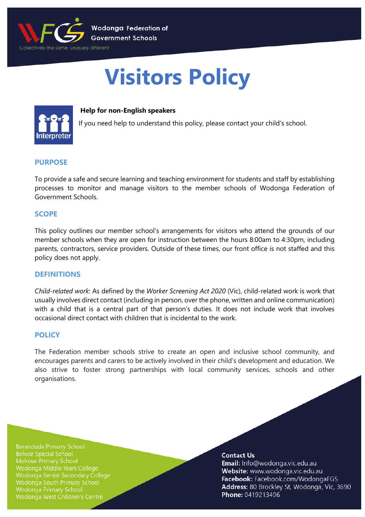

# **Visitors Policy**



## **Help for non-English speakers**

If you need help to understand this policy, please contact your child's school.

## **PURPOSE**

To provide a safe and secure learning and teaching environment for students and staff by establishing processes to monitor and manage visitors to the member schools of Wodonga Federation of Government Schools.

## **SCOPE**

This policy outlines our member school's arrangements for visitors who attend the grounds of our member schools when they are open for instruction between the hours 8:00am to 4:30pm, including parents, contractors, service providers. Outside of these times, our front office is not staffed and this policy does not apply.

## **DEFINITIONS**

*Child-related work*: As defined by the *Worker Screening Act 2020* (Vic), child-related work is work that usually involves direct contact (including in person, over the phone, written and online communication) with a child that is a central part of that person's duties. It does not include work that involves occasional direct contact with children that is incidental to the work.

## **POLICY**

The Federation member schools strive to create an open and inclusive school community, and encourages parents and carers to be actively involved in their child's development and education. We also strive to foster strong partnerships with local community services, schools and other organisations.

**Baranduda Primary School Belvoir Special School** Melrose Primary School Wodonga Middle Years College Wodonga Senior Secondary College **Wodonga South Primary School Wodonga Primary School** Wodonga West Children's Centre

#### **Contact Us**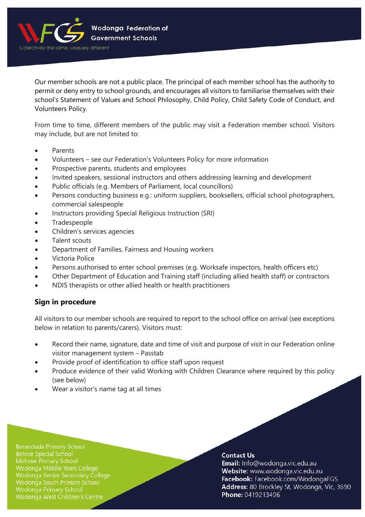

Our member schools are not a public place. The principal of each member school has the authority to permit or deny entry to school grounds, and encourages all visitors to familiarise themselves with their school's Statement of Values and School Philosophy, Child Policy, Child Safety Code of Conduct, and Volunteers Policy.

From time to time, different members of the public may visit a Federation member school. Visitors may include, but are not limited to:

- Parents
- Volunteers see our Federation's Volunteers Policy for more information
- Prospective parents, students and employees
- Invited speakers, sessional instructors and others addressing learning and development
- Public officials (e.g. Members of Parliament, local councillors)
- Persons conducting business e.g.: uniform suppliers, booksellers, official school photographers, commercial salespeople
- Instructors providing Special Religious Instruction (SRI)
- **Tradespeople**
- Children's services agencies
- Talent scouts
- Department of Families, Fairness and Housing workers
- Victoria Police
- Persons authorised to enter school premises (e.g. Worksafe inspectors, health officers etc)
- Other Department of Education and Training staff (including allied health staff) or contractors
- NDIS therapists or other allied health or health practitioners

## **Sign in procedure**

All visitors to our member schools are required to report to the school office on arrival (see exceptions below in relation to parents/carers). Visitors must:

- Record their name, signature, date and time of visit and purpose of visit in our Federation online visitor management system – Passtab
- Provide proof of identification to office staff upon request
- Produce evidence of their valid Working with Children Clearance where required by this policy (see below)
- Wear a visitor's name tag at all times

**Baranduda Primary School Belvoir Special School** Wodonga Middle Years College Wodonga Senior Secondary College Wodonga South Primary School Wodonga Primary School Wodonga West Children's Centre

#### **Contact Us**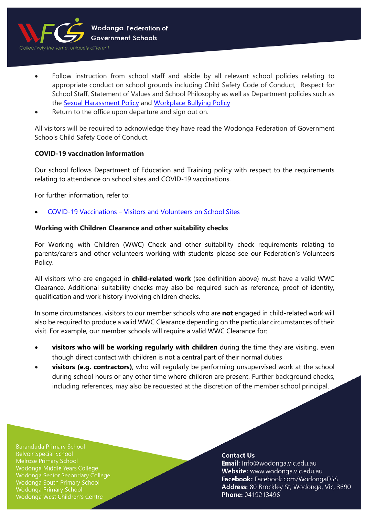

- Follow instruction from school staff and abide by all relevant school policies relating to appropriate conduct on school grounds including Child Safety Code of Conduct, Respect for School Staff, Statement of Values and School Philosophy as well as Department policies such as the [Sexual Harassment Policy](https://www2.education.vic.gov.au/pal/sexual-harassment/overview) and [Workplace Bullying Policy](https://www2.education.vic.gov.au/pal/workplace-bullying/policy)
- Return to the office upon departure and sign out on.

All visitors will be required to acknowledge they have read the Wodonga Federation of Government Schools Child Safety Code of Conduct.

## **COVID-19 vaccination information**

Our school follows Department of Education and Training policy with respect to the requirements relating to attendance on school sites and COVID-19 vaccinations.

For further information, refer to:

• COVID-19 Vaccinations – [Visitors and Volunteers on School Sites](https://www2.education.vic.gov.au/pal/covid-19-vaccinations-visitors-volunteers/policy)

## **Working with Children Clearance and other suitability checks**

For Working with Children (WWC) Check and other suitability check requirements relating to parents/carers and other volunteers working with students please see our Federation's Volunteers Policy.

All visitors who are engaged in **child-related work** (see definition above) must have a valid WWC Clearance. Additional suitability checks may also be required such as reference, proof of identity, qualification and work history involving children checks.

In some circumstances, visitors to our member schools who are **not** engaged in child-related work will also be required to produce a valid WWC Clearance depending on the particular circumstances of their visit. For example, our member schools will require a valid WWC Clearance for:

- **visitors who will be working regularly with children** during the time they are visiting, even though direct contact with children is not a central part of their normal duties
- **visitors (e.g. contractors)**, who will regularly be performing unsupervised work at the school during school hours or any other time where children are present. Further background checks, including references, may also be requested at the discretion of the member school principal.

**Baranduda Primary School Belvoir Special School** Melrose Primary School Wodonga Middle Years College Wodonga Senior Secondary College Wodonga South Primary School **Wodonga Primary School** Wodonga West Children's Centre

#### **Contact Us**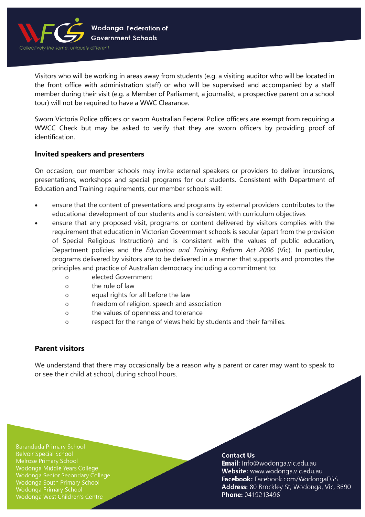

Visitors who will be working in areas away from students (e.g. a visiting auditor who will be located in the front office with administration staff) or who will be supervised and accompanied by a staff member during their visit (e.g. a Member of Parliament, a journalist, a prospective parent on a school tour) will not be required to have a WWC Clearance.

Sworn Victoria Police officers or sworn Australian Federal Police officers are exempt from requiring a WWCC Check but may be asked to verify that they are sworn officers by providing proof of identification.

## **Invited speakers and presenters**

On occasion, our member schools may invite external speakers or providers to deliver incursions, presentations, workshops and special programs for our students. Consistent with Department of Education and Training requirements, our member schools will:

- ensure that the content of presentations and programs by external providers contributes to the educational development of our students and is consistent with curriculum objectives
- ensure that any proposed visit, programs or content delivered by visitors complies with the requirement that education in Victorian Government schools is secular (apart from the provision of Special Religious Instruction) and is consistent with the values of public education, Department policies and the *Education and Training Reform Act 2006* (Vic). In particular, programs delivered by visitors are to be delivered in a manner that supports and promotes the principles and practice of Australian democracy including a commitment to:
	- o elected Government
	- o the rule of law
	- o equal rights for all before the law
	- o freedom of religion, speech and association
	- o the values of openness and tolerance
	- o respect for the range of views held by students and their families.

# **Parent visitors**

We understand that there may occasionally be a reason why a parent or carer may want to speak to or see their child at school, during school hours.

**Baranduda Primary School Belvoir Special School** Melrose Primary School Wodonga Middle Years College Wodonga Senior Secondary College **Wodonga South Primary School Wodonga Primary School** Wodonga West Children's Centre

#### **Contact Us**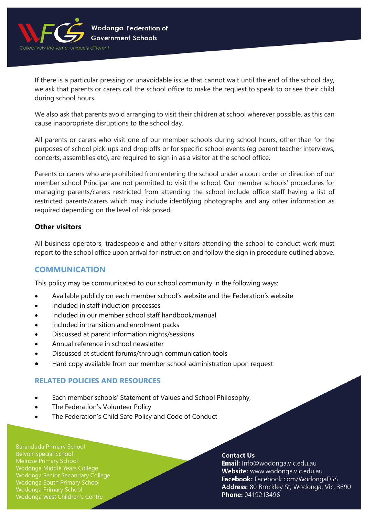

If there is a particular pressing or unavoidable issue that cannot wait until the end of the school day, we ask that parents or carers call the school office to make the request to speak to or see their child during school hours.

We also ask that parents avoid arranging to visit their children at school wherever possible, as this can cause inappropriate disruptions to the school day.

All parents or carers who visit one of our member schools during school hours, other than for the purposes of school pick-ups and drop offs or for specific school events (eg parent teacher interviews, concerts, assemblies etc), are required to sign in as a visitor at the school office.

Parents or carers who are prohibited from entering the school under a court order or direction of our member school Principal are not permitted to visit the school. Our member schools' procedures for managing parents/carers restricted from attending the school include office staff having a list of restricted parents/carers which may include identifying photographs and any other information as required depending on the level of risk posed.

# **Other visitors**

All business operators, tradespeople and other visitors attending the school to conduct work must report to the school office upon arrival for instruction and follow the sign in procedure outlined above.

# **COMMUNICATION**

This policy may be communicated to our school community in the following ways:

- Available publicly on each member school's website and the Federation's website
- Included in staff induction processes
- Included in our member school staff handbook/manual
- Included in transition and enrolment packs
- Discussed at parent information nights/sessions
- Annual reference in school newsletter
- Discussed at student forums/through communication tools
- Hard copy available from our member school administration upon request

# **RELATED POLICIES AND RESOURCES**

- Each member schools' Statement of Values and School Philosophy,
- The Federation's Volunteer Policy
- The Federation's Child Safe Policy and Code of Conduct

**Baranduda Primary School Belvoir Special School** Wodonga Middle Years College Wodonga Senior Secondary College Wodonga South Primary School **Wodonga Primary School** Wodonga West Children's Centre

#### **Contact Us**